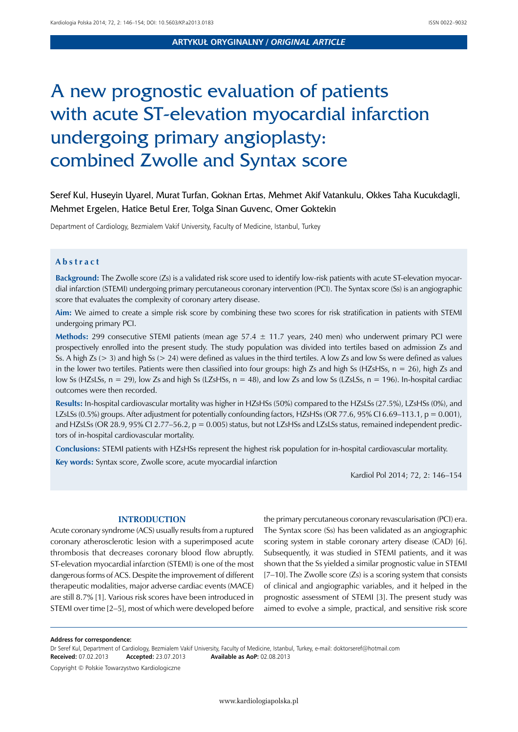# A new prognostic evaluation of patients with acute ST-elevation myocardial infarction undergoing primary angioplasty: combined Zwolle and Syntax score

Seref Kul, Huseyin Uyarel, Murat Turfan, Gokhan Ertas, Mehmet Akif Vatankulu, Okkes Taha Kucukdagli, Mehmet Ergelen, Hatice Betul Erer, Tolga Sinan Guvenc, Omer Goktekin

Department of Cardiology, Bezmialem Vakif University, Faculty of Medicine, Istanbul, Turkey

## **Abstract**

**Background:** The Zwolle score (Zs) is a validated risk score used to identify low-risk patients with acute ST-elevation myocardial infarction (STEMI) undergoing primary percutaneous coronary intervention (PCI). The Syntax score (Ss) is an angiographic score that evaluates the complexity of coronary artery disease.

**Aim:** We aimed to create a simple risk score by combining these two scores for risk stratification in patients with STEMI undergoing primary PCI.

**Methods:** 299 consecutive STEMI patients (mean age 57.4 ± 11.7 years, 240 men) who underwent primary PCI were prospectively enrolled into the present study. The study population was divided into tertiles based on admission Zs and Ss. A high Zs (> 3) and high Ss (> 24) were defined as values in the third tertiles. A low Zs and low Ss were defined as values in the lower two tertiles. Patients were then classified into four groups: high Zs and high Ss (HZsHSs,  $n = 26$ ), high Zs and low Ss (HZsLSs, n = 29), low Zs and high Ss (LZsHSs, n = 48), and low Zs and low Ss (LZsLSs, n = 196). In-hospital cardiac outcomes were then recorded.

**Results:** In-hospital cardiovascular mortality was higher in HZsHSs (50%) compared to the HZsLSs (27.5%), LZsHSs (0%), and LZsLSs (0.5%) groups. After adjustment for potentially confounding factors, HZsHSs (OR 77.6, 95% CI 6.69–113.1,  $p = 0.001$ ), and HZsLSs (OR 28.9, 95% CI 2.77-56.2, p = 0.005) status, but not LZsHSs and LZsLSs status, remained independent predictors of in-hospital cardiovascular mortality.

**Conclusions:** STEMI patients with HZsHSs represent the highest risk population for in-hospital cardiovascular mortality.

**Key words:** Syntax score, Zwolle score, acute myocardial infarction

Kardiol Pol 2014; 72, 2: 146–154

#### **INTRODUCTION**

Acute coronary syndrome (ACS) usually results from a ruptured coronary atherosclerotic lesion with a superimposed acute thrombosis that decreases coronary blood flow abruptly. ST-elevation myocardial infarction (STEMI) is one of the most dangerous forms of ACS. Despite the improvement of different therapeutic modalities, major adverse cardiac events (MACE) are still 8.7% [1]. Various risk scores have been introduced in STEMI over time [2–5], most of which were developed before the primary percutaneous coronary revascularisation (PCI) era. The Syntax score (Ss) has been validated as an angiographic scoring system in stable coronary artery disease (CAD) [6]. Subsequently, it was studied in STEMI patients, and it was shown that the Ss yielded a similar prognostic value in STEMI [7–10]. The Zwolle score (Zs) is a scoring system that consists of clinical and angiographic variables, and it helped in the prognostic assessment of STEMI [3]. The present study was aimed to evolve a simple, practical, and sensitive risk score

**Address for correspondence:** 

Dr Seref Kul, Department of Cardiology, Bezmialem Vakif University, Faculty of Medicine, Istanbul, Turkey, e-mail: doktorseref@hotmail.com **Received:** 07.02.2013 **Accepted:** 23.07.2013 **Available as AoP:** 02.08.2013 Copyright © Polskie Towarzystwo Kardiologiczne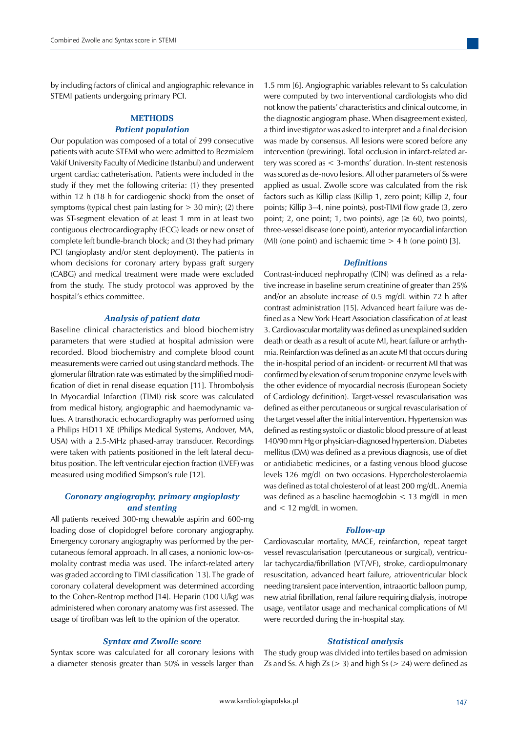by including factors of clinical and angiographic relevance in STEMI patients undergoing primary PCI.

## **METHODS** *Patient population*

## Our population was composed of a total of 299 consecutive patients with acute STEMI who were admitted to Bezmialem Vakif University Faculty of Medicine (Istanbul) and underwent urgent cardiac catheterisation. Patients were included in the study if they met the following criteria: (1) they presented within 12 h (18 h for cardiogenic shock) from the onset of symptoms (typical chest pain lasting for  $> 30$  min); (2) there was ST-segment elevation of at least 1 mm in at least two contiguous electrocardiography (ECG) leads or new onset of complete left bundle-branch block; and (3) they had primary PCI (angioplasty and/or stent deployment). The patients in whom decisions for coronary artery bypass graft surgery (CABG) and medical treatment were made were excluded from the study. The study protocol was approved by the hospital's ethics committee.

## *Analysis of patient data*

Baseline clinical characteristics and blood biochemistry parameters that were studied at hospital admission were recorded. Blood biochemistry and complete blood count measurements were carried out using standard methods. The glomerular filtration rate was estimated by the simplified modification of diet in renal disease equation [11]. Thrombolysis In Myocardial Infarction (TIMI) risk score was calculated from medical history, angiographic and haemodynamic values. A transthoracic echocardiography was performed using a Philips HD11 XE (Philips Medical Systems, Andover, MA, USA) with a 2.5-MHz phased-array transducer. Recordings were taken with patients positioned in the left lateral decubitus position. The left ventricular ejection fraction (LVEF) was measured using modified Simpson's rule [12].

## *Coronary angiography, primary angioplasty and stenting*

All patients received 300-mg chewable aspirin and 600-mg loading dose of clopidogrel before coronary angiography. Emergency coronary angiography was performed by the percutaneous femoral approach. In all cases, a nonionic low-osmolality contrast media was used. The infarct-related artery was graded according to TIMI classification [13].The grade of coronary collateral development was determined according to the Cohen-Rentrop method [14]. Heparin (100 U/kg) was administered when coronary anatomy was first assessed. The usage of tirofiban was left to the opinion of the operator.

## *Syntax and Zwolle score*

Syntax score was calculated for all coronary lesions with a diameter stenosis greater than 50% in vessels larger than 1.5 mm [6]. Angiographic variables relevant to Ss calculation were computed by two interventional cardiologists who did not know the patients' characteristics and clinical outcome, in the diagnostic angiogram phase. When disagreement existed, a third investigator was asked to interpret and a final decision was made by consensus. All lesions were scored before any intervention (prewiring). Total occlusion in infarct-related artery was scored as < 3-months' duration. In-stent restenosis was scored as de-novo lesions. All other parameters of Ss were applied as usual. Zwolle score was calculated from the risk factors such as Killip class (Killip 1, zero point; Killip 2, four points; Killip 3–4, nine points), post-TIMI flow grade (3, zero point; 2, one point; 1, two points), age  $(\geq 60)$ , two points), three-vessel disease (one point), anterior myocardial infarction (MI) (one point) and ischaemic time  $>$  4 h (one point) [3].

#### *Definitions*

Contrast-induced nephropathy (CIN) was defined as a relative increase in baseline serum creatinine of greater than 25% and/or an absolute increase of 0.5 mg/dL within 72 h after contrast administration [15]. Advanced heart failure was defined as a New York Heart Association classification of at least 3. Cardiovascular mortality was defined as unexplained sudden death or death as a result of acute MI, heart failure or arrhythmia. Reinfarction was defined as an acute MI that occurs during the in-hospital period of an incident- or recurrent MI that was confirmed by elevation of serum troponine enzyme levels with the other evidence of myocardial necrosis (European Society of Cardiology definition). Target-vessel revascularisation was defined as either percutaneous or surgical revascularisation of the target vessel after the initial intervention. Hypertension was defined as resting systolic or diastolic blood pressure of at least 140/90 mm Hg or physician-diagnosed hypertension. Diabetes mellitus (DM) was defined as a previous diagnosis, use of diet or antidiabetic medicines, or a fasting venous blood glucose levels 126 mg/dL on two occasions. Hypercholesterolaemia was defined as total cholesterol of at least 200 mg/dL. Anemia was defined as a baseline haemoglobin < 13 mg/dL in men and < 12 mg/dL in women.

#### *Follow-up*

Cardiovascular mortality, MACE, reinfarction, repeat target vessel revascularisation (percutaneous or surgical), ventricular tachycardia/fibrillation (VT/VF), stroke, cardiopulmonary resuscitation, advanced heart failure, atrioventricular block needing transient pace intervention, intraaortic balloon pump, new atrial fibrillation, renal failure requiring dialysis, inotrope usage, ventilator usage and mechanical complications of MI were recorded during the in-hospital stay.

## *Statistical analysis*

The study group was divided into tertiles based on admission Zs and Ss. A high  $Zs$  ( $> 3$ ) and high Ss ( $> 24$ ) were defined as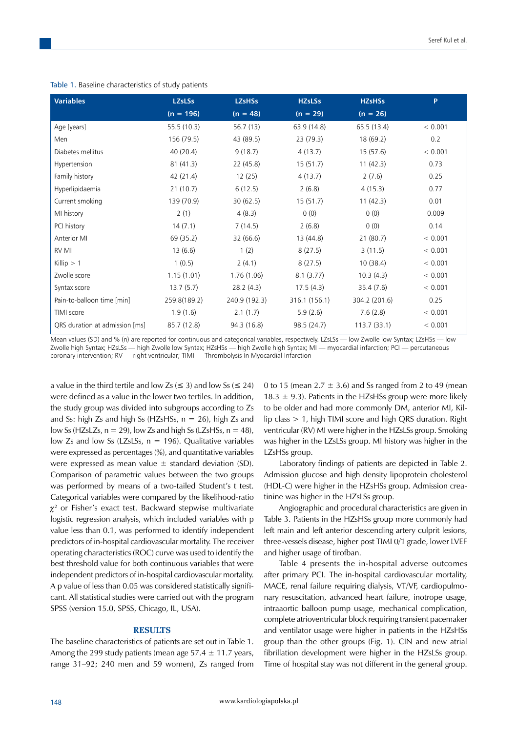| <b>Variables</b>               | <b>LZsLSs</b> | <b>LZsHSs</b> | <b>HZsLSs</b> | <b>HZsHSs</b> | P       |
|--------------------------------|---------------|---------------|---------------|---------------|---------|
|                                | $(n = 196)$   | $(n = 48)$    | $(n = 29)$    | $(n = 26)$    |         |
| Age [years]                    | 55.5 (10.3)   | 56.7(13)      | 63.9 (14.8)   | 65.5 (13.4)   | < 0.001 |
| Men                            | 156 (79.5)    | 43 (89.5)     | 23 (79.3)     | 18 (69.2)     | 0.2     |
| Diabetes mellitus              | 40 (20.4)     | 9(18.7)       | 4(13.7)       | 15(57.6)      | < 0.001 |
| Hypertension                   | 81(41.3)      | 22(45.8)      | 15(51.7)      | 11(42.3)      | 0.73    |
| Family history                 | 42 (21.4)     | 12(25)        | 4(13.7)       | 2(7.6)        | 0.25    |
| Hyperlipidaemia                | 21(10.7)      | 6(12.5)       | 2(6.8)        | 4(15.3)       | 0.77    |
| Current smoking                | 139 (70.9)    | 30(62.5)      | 15(51.7)      | 11(42.3)      | 0.01    |
| MI history                     | 2(1)          | 4(8.3)        | 0(0)          | 0(0)          | 0.009   |
| PCI history                    | 14(7.1)       | 7(14.5)       | 2(6.8)        | 0(0)          | 0.14    |
| <b>Anterior MI</b>             | 69 (35.2)     | 32(66.6)      | 13 (44.8)     | 21(80.7)      | < 0.001 |
| RV MI                          | 13(6.6)       | 1(2)          | 8(27.5)       | 3(11.5)       | < 0.001 |
| Killip $> 1$                   | 1(0.5)        | 2(4.1)        | 8(27.5)       | 10(38.4)      | < 0.001 |
| Zwolle score                   | 1.15(1.01)    | 1.76 (1.06)   | 8.1(3.77)     | 10.3(4.3)     | < 0.001 |
| Syntax score                   | 13.7(5.7)     | 28.2(4.3)     | 17.5(4.3)     | 35.4(7.6)     | < 0.001 |
| Pain-to-balloon time [min]     | 259.8(189.2)  | 240.9 (192.3) | 316.1 (156.1) | 304.2 (201.6) | 0.25    |
| TIMI score                     | 1.9(1.6)      | 2.1(1.7)      | 5.9(2.6)      | 7.6(2.8)      | < 0.001 |
| QRS duration at admission [ms] | 85.7 (12.8)   | 94.3 (16.8)   | 98.5 (24.7)   | 113.7(33.1)   | < 0.001 |

## Table 1. Baseline characteristics of study patients

Mean values (SD) and % (n) are reported for continuous and categorical variables, respectively. LZsLSs — low Zwolle low Syntax; LZsHSs — low Zwolle high Syntax; HZsLSs — high Zwolle low Syntax; HZsHSs — high Zwolle high Syntax; MI — myocardial infarction; PCI — percutaneous coronary intervention; RV — right ventricular; TIMI — Thrombolysis In Myocardial Infarction

a value in the third tertile and low  $Z_s \leq 3$ ) and low Ss ( $\leq 24$ ) were defined as a value in the lower two tertiles. In addition, the study group was divided into subgroups according to Zs and Ss: high Zs and high Ss (HZsHSs,  $n = 26$ ), high Zs and low Ss (HZsLZs,  $n = 29$ ), low Zs and high Ss (LZsHSs,  $n = 48$ ), low Zs and low Ss (LZsLSs,  $n = 196$ ). Qualitative variables were expressed as percentages (%), and quantitative variables were expressed as mean value  $\pm$  standard deviation (SD). Comparison of parametric values between the two groups was performed by means of a two-tailed Student's t test. Categorical variables were compared by the likelihood-ratio  $\chi^2$  or Fisher's exact test. Backward stepwise multivariate logistic regression analysis, which included variables with p value less than 0.1, was performed to identify independent predictors of in-hospital cardiovascular mortality. The receiver operating characteristics (ROC) curve was used to identify the best threshold value for both continuous variables that were independent predictors of in-hospital cardiovascular mortality. A p value of less than 0.05 was considered statistically significant. All statistical studies were carried out with the program SPSS (version 15.0, SPSS, Chicago, IL, USA).

## **RESULTS**

The baseline characteristics of patients are set out in Table 1. Among the 299 study patients (mean age  $57.4 \pm 11.7$  years, range 31–92; 240 men and 59 women), Zs ranged from 0 to 15 (mean  $2.7 \pm 3.6$ ) and Ss ranged from 2 to 49 (mean 18.3  $\pm$  9.3). Patients in the HZsHSs group were more likely to be older and had more commonly DM, anterior MI, Killip class > 1, high TIMI score and high QRS duration. Right ventricular (RV) MI were higher in the HZsLSs group. Smoking was higher in the LZsLSs group. MI history was higher in the LZsHSs group.

Laboratory findings of patients are depicted in Table 2. Admission glucose and high density lipoprotein cholesterol (HDL-C) were higher in the HZsHSs group. Admission creatinine was higher in the HZsLSs group.

Angiographic and procedural characteristics are given in Table 3. Patients in the HZsHSs group more commonly had left main and left anterior descending artery culprit lesions, three-vessels disease, higher post TIMI 0/1 grade, lower LVEF and higher usage of tirofban.

Table 4 presents the in-hospital adverse outcomes after primary PCI. The in-hospital cardiovascular mortality, MACE, renal failure requiring dialysis, VT/VF, cardiopulmonary resuscitation, advanced heart failure, inotrope usage, intraaortic balloon pump usage, mechanical complication, complete atrioventricular block requiring transient pacemaker and ventilator usage were higher in patients in the HZsHSs group than the other groups (Fig. 1). CIN and new atrial fibrillation development were higher in the HZsLSs group. Time of hospital stay was not different in the general group.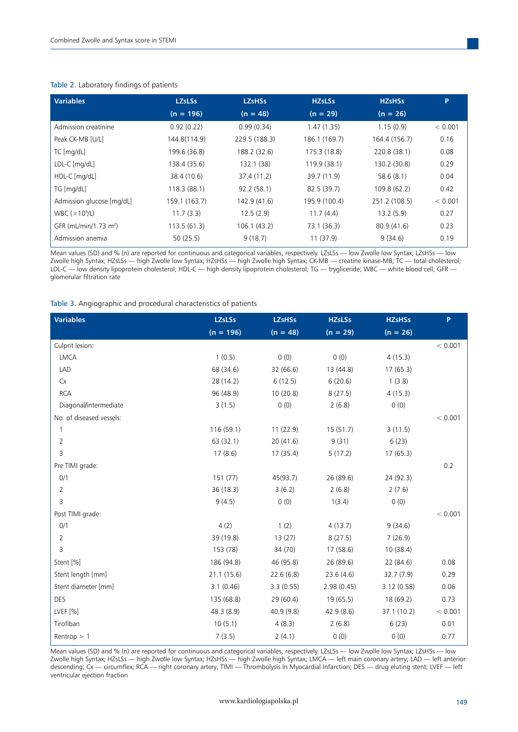| <b>Variables</b>                     | <b>LZsLSs</b> | <b>LZsHSs</b> | <b>HZsLSs</b> | <b>HZsHSs</b> | P       |
|--------------------------------------|---------------|---------------|---------------|---------------|---------|
|                                      | $(n = 196)$   | $(n = 48)$    | $(n = 29)$    | $(n = 26)$    |         |
| Admission creatinine                 | 0.92(0.22)    | 0.99(0.34)    | 1.47(1.35)    | 1.15(0.9)     | < 0.001 |
| Peak CK-MB [U/L]                     | 144.8(114.9)  | 229.5 (188.3) | 186.1 (169.7) | 164.4 (156.7) | 0.16    |
| TC [mg/dL]                           | 199.6 (36.8)  | 188.2 (32.6)  | 175.3 (18.8)  | 220.8 (38.1)  | 0.08    |
| LDL-C [mg/dL]                        | 138.4 (35.6)  | 132.1 (38)    | 119.9(38.1)   | 130.2 (30.8)  | 0.29    |
| HDL-C [mg/dL]                        | 38.4 (10.6)   | 37.4 (11.2)   | 39.7 (11.9)   | 58.6(8.1)     | 0.04    |
| TG [mg/dL]                           | 118.3 (88.1)  | 92.2(58.1)    | 82.5 (39.7)   | 109.8 (62.2)  | 0.42    |
| Admission glucose [mg/dL]            | 159.1 (163.7) | 142.9 (41.6)  | 195.9 (100.4) | 251.2 (108.5) | < 0.001 |
| WBC $(\times 10^9$ /L)               | 11.7(3.3)     | 12.5(2.9)     | 11.7(4.4)     | 13.2(5.9)     | 0.27    |
| GFR ( $mL/min/1.73$ m <sup>2</sup> ) | 113.5(61.3)   | 106.1(43.2)   | 73.1 (36.3)   | 80.9(41.6)    | 0.23    |
| Admission anemia                     | 50(25.5)      | 9(18.7)       | 11(37.9)      | 9(34.6)       | 0.19    |

## Table 2. Laboratory findings of patients

Mean values (SD) and % (n) are reported for continuous and categorical variables, respectively. LZsLSs — low Zwolle low Syntax; LZsHSs — low Zwolle high Syntax; HZsLSs — high Zwolle low Syntax; HZsHSs — high Zwolle high Syntax; CK-MB — creatine kinase-MB; TC — total cholesterol; LDL-C — low density lipoprotein cholesterol; HDL-C — high density lipoprotein cholesterol; TG — trygliceride; WBC — white blood cell; GFR glomerular filtration rate

|  |  |  |  |  | Table 3. Angiographic and procedural characteristics of patients |  |
|--|--|--|--|--|------------------------------------------------------------------|--|
|--|--|--|--|--|------------------------------------------------------------------|--|

| $(n = 196)$<br>$(n = 48)$<br>$(n = 29)$<br>$(n = 26)$<br>Culprit lesion:<br>< 0.001<br>1(0.5)<br>0(0)<br>0(0)<br><b>LMCA</b><br>4(15.3)<br>LAD<br>68 (34.6)<br>32 (66.6)<br>13 (44.8)<br>17(65.3)<br>28 (14.2)<br>6(12.5)<br>6(20.6)<br>1(3.8)<br>Cx<br><b>RCA</b><br>96 (48.9)<br>10(20.8)<br>8(27.5)<br>4(15.3)<br>Diagonal/intermediate<br>3(1.5)<br>0(0)<br>2(6.8)<br>0(0)<br>No. of diseased vessels:<br>< 0.001<br>116(59.1)<br>11(22.9)<br>15(51.7)<br>3(11.5)<br>$\mathbf{1}$ | <b>Variables</b> | <b>LZsLSs</b> | <b>LZsHSs</b> | <b>HZsLSs</b> | <b>HZsHSs</b> | P |
|---------------------------------------------------------------------------------------------------------------------------------------------------------------------------------------------------------------------------------------------------------------------------------------------------------------------------------------------------------------------------------------------------------------------------------------------------------------------------------------|------------------|---------------|---------------|---------------|---------------|---|
|                                                                                                                                                                                                                                                                                                                                                                                                                                                                                       |                  |               |               |               |               |   |
|                                                                                                                                                                                                                                                                                                                                                                                                                                                                                       |                  |               |               |               |               |   |
|                                                                                                                                                                                                                                                                                                                                                                                                                                                                                       |                  |               |               |               |               |   |
|                                                                                                                                                                                                                                                                                                                                                                                                                                                                                       |                  |               |               |               |               |   |
|                                                                                                                                                                                                                                                                                                                                                                                                                                                                                       |                  |               |               |               |               |   |
|                                                                                                                                                                                                                                                                                                                                                                                                                                                                                       |                  |               |               |               |               |   |
|                                                                                                                                                                                                                                                                                                                                                                                                                                                                                       |                  |               |               |               |               |   |
|                                                                                                                                                                                                                                                                                                                                                                                                                                                                                       |                  |               |               |               |               |   |
|                                                                                                                                                                                                                                                                                                                                                                                                                                                                                       |                  |               |               |               |               |   |
|                                                                                                                                                                                                                                                                                                                                                                                                                                                                                       | $\overline{2}$   | 63 (32.1)     | 20(41.6)      | 9(31)         | 6(23)         |   |
| 3<br>17(8.6)<br>5(17.2)<br>17(65.3)<br>17 (35.4)                                                                                                                                                                                                                                                                                                                                                                                                                                      |                  |               |               |               |               |   |
| 0.2<br>Pre TIMI grade:                                                                                                                                                                                                                                                                                                                                                                                                                                                                |                  |               |               |               |               |   |
| 0/1<br>151 (77)<br>45(93.7)<br>26 (89.6)<br>24 (92.3)                                                                                                                                                                                                                                                                                                                                                                                                                                 |                  |               |               |               |               |   |
| $\overline{2}$<br>36 (18.3)<br>3(6.2)<br>2(6.8)<br>2(7.6)                                                                                                                                                                                                                                                                                                                                                                                                                             |                  |               |               |               |               |   |
| 3<br>9(4.5)<br>0(0)<br>1(3.4)<br>0(0)                                                                                                                                                                                                                                                                                                                                                                                                                                                 |                  |               |               |               |               |   |
| < 0.001<br>Post TIMI grade:                                                                                                                                                                                                                                                                                                                                                                                                                                                           |                  |               |               |               |               |   |
| 0/1<br>4(2)<br>1(2)<br>4(13.7)<br>9(34.6)                                                                                                                                                                                                                                                                                                                                                                                                                                             |                  |               |               |               |               |   |
| $\overline{2}$<br>39 (19.8)<br>13(27)<br>8(27.5)<br>7(26.9)                                                                                                                                                                                                                                                                                                                                                                                                                           |                  |               |               |               |               |   |
| 3<br>153 (78)<br>34 (70)<br>17(58.6)<br>10(38.4)                                                                                                                                                                                                                                                                                                                                                                                                                                      |                  |               |               |               |               |   |
| Stent [%]<br>186 (94.8)<br>46 (95.8)<br>26 (89.6)<br>22 (84.6)<br>0.08                                                                                                                                                                                                                                                                                                                                                                                                                |                  |               |               |               |               |   |
| Stent length [mm]<br>22.6(6.8)<br>23.6(4.6)<br>0.29<br>21.1(15.6)<br>32.7(7.9)                                                                                                                                                                                                                                                                                                                                                                                                        |                  |               |               |               |               |   |
| Stent diameter [mm]<br>3.1(0.46)<br>3.3(0.55)<br>2.98(0.45)<br>3.12(0.58)<br>0.06                                                                                                                                                                                                                                                                                                                                                                                                     |                  |               |               |               |               |   |
| <b>DES</b><br>135 (68.8)<br>29 (60.4)<br>19(65.5)<br>18 (69.2)<br>0.73                                                                                                                                                                                                                                                                                                                                                                                                                |                  |               |               |               |               |   |
| LVEF [%]<br>48.3 (8.9)<br>40.9 (9.8)<br>42.9(8.6)<br>37.1 (10.2)<br>< 0.001                                                                                                                                                                                                                                                                                                                                                                                                           |                  |               |               |               |               |   |
| Tirofiban<br>10(5.1)<br>4(8.3)<br>2(6.8)<br>6(23)<br>0.01                                                                                                                                                                                                                                                                                                                                                                                                                             |                  |               |               |               |               |   |
| Rentrop $> 1$<br>7(3.5)<br>2(4.1)<br>0(0)<br>0(0)<br>0.77                                                                                                                                                                                                                                                                                                                                                                                                                             |                  |               |               |               |               |   |

Mean values (SD) and % (n) are reported for continuous and categorical variables, respectively. LZsLSs — low Zwolle low Syntax; LZsHSs — low Zwolle high Syntax; HZsLSs — high Zwolle low Syntax; HZsHSs — high Zwolle high Syntax; LMCA — left main coronary artery; LAD — left anterior descending; Cx — circumflex; RCA — right coronary artery; TIMI — Thrombolysis In Myocardial Infarction; DES — drug eluting stent; LVEF — left ventricular ejection fraction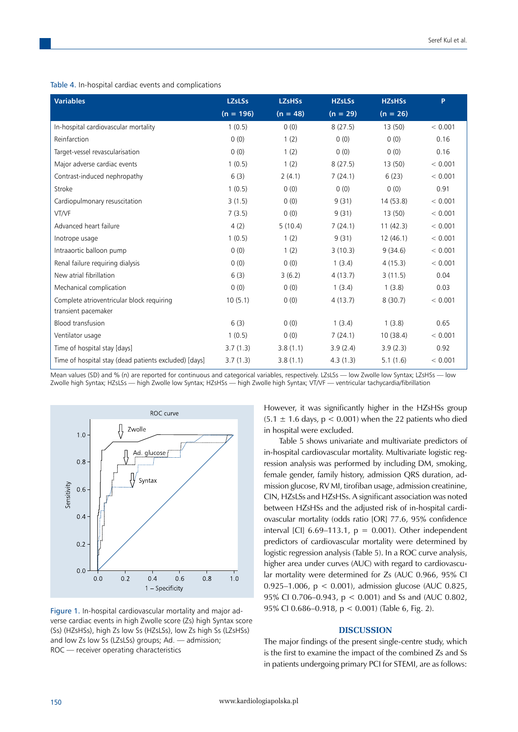### Table 4. In-hospital cardiac events and complications

| <b>Variables</b>                                      | <b>LZsLSs</b> | <b>LZsHSs</b> | <b>HZsLSs</b> | <b>HZsHSs</b> | P       |
|-------------------------------------------------------|---------------|---------------|---------------|---------------|---------|
|                                                       | $(n = 196)$   | $(n = 48)$    | $(n = 29)$    | $(n = 26)$    |         |
| In-hospital cardiovascular mortality                  | 1(0.5)        | 0(0)          | 8(27.5)       | 13(50)        | < 0.001 |
| Reinfarction                                          | 0(0)          | 1(2)          | 0(0)          | 0(0)          | 0.16    |
| Target-vessel revascularisation                       | 0(0)          | 1(2)          | 0(0)          | 0(0)          | 0.16    |
| Major adverse cardiac events                          | 1(0.5)        | 1(2)          | 8(27.5)       | 13(50)        | < 0.001 |
| Contrast-induced nephropathy                          | 6(3)          | 2(4.1)        | 7(24.1)       | 6(23)         | < 0.001 |
| Stroke                                                | 1(0.5)        | 0(0)          | 0(0)          | 0(0)          | 0.91    |
| Cardiopulmonary resuscitation                         | 3(1.5)        | 0(0)          | 9(31)         | 14 (53.8)     | < 0.001 |
| VT/VF                                                 | 7(3.5)        | 0(0)          | 9(31)         | 13(50)        | < 0.001 |
| Advanced heart failure                                | 4(2)          | 5(10.4)       | 7(24.1)       | 11(42.3)      | < 0.001 |
| Inotrope usage                                        | 1(0.5)        | 1(2)          | 9(31)         | 12(46.1)      | < 0.001 |
| Intraaortic balloon pump                              | 0(0)          | 1(2)          | 3(10.3)       | 9(34.6)       | < 0.001 |
| Renal failure requiring dialysis                      | 0(0)          | 0(0)          | 1(3.4)        | 4(15.3)       | < 0.001 |
| New atrial fibrillation                               | 6(3)          | 3(6.2)        | 4(13.7)       | 3(11.5)       | 0.04    |
| Mechanical complication                               | 0(0)          | 0(0)          | 1(3.4)        | 1(3.8)        | 0.03    |
| Complete atrioventricular block requiring             | 10(5.1)       | 0(0)          | 4(13.7)       | 8(30.7)       | < 0.001 |
| transient pacemaker                                   |               |               |               |               |         |
| <b>Blood transfusion</b>                              | 6(3)          | 0(0)          | 1(3.4)        | 1(3.8)        | 0.65    |
| Ventilator usage                                      | 1(0.5)        | 0(0)          | 7(24.1)       | 10(38.4)      | < 0.001 |
| Time of hospital stay [days]                          | 3.7(1.3)      | 3.8(1.1)      | 3.9(2.4)      | 3.9(2.3)      | 0.92    |
| Time of hospital stay (dead patients excluded) [days] | 3.7(1.3)      | 3.8(1.1)      | 4.3(1.3)      | 5.1(1.6)      | < 0.001 |

Mean values (SD) and % (n) are reported for continuous and categorical variables, respectively. LZsLSs — low Zwolle low Syntax; LZsHSs — low Zwolle high Syntax; HZsLSs — high Zwolle low Syntax; HZsHSs — high Zwolle high Syntax; VT/VF — ventricular tachycardia/fibrillation



Figure 1. In-hospital cardiovascular mortality and major adverse cardiac events in high Zwolle score (Zs) high Syntax score (Ss) (HZsHSs), high Zs low Ss (HZsLSs), low Zs high Ss (LZsHSs) and low Zs low Ss (LZsLSs) groups; Ad. — admission; ROC — receiver operating characteristics

However, it was significantly higher in the HZsHSs group  $(5.1 \pm 1.6$  days,  $p < 0.001$ ) when the 22 patients who died in hospital were excluded.

Table 5 shows univariate and multivariate predictors of in-hospital cardiovascular mortality. Multivariate logistic regression analysis was performed by including DM, smoking, female gender, family history, admission QRS duration, admission glucose, RV MI, tirofiban usage, admission creatinine, CIN, HZsLSs and HZsHSs. A significant association was noted between HZsHSs and the adjusted risk of in-hospital cardiovascular mortality (odds ratio [OR] 77.6, 95% confidence interval [CI] 6.69-113.1,  $p = 0.001$ ). Other independent predictors of cardiovascular mortality were determined by logistic regression analysis (Table 5). In a ROC curve analysis, higher area under curves (AUC) with regard to cardiovascular mortality were determined for Zs (AUC 0.966, 95% CI 0.925–1.006, p < 0.001), admission glucose (AUC 0.825, 95% CI 0.706–0.943, p < 0.001) and Ss and (AUC 0.802, 95% CI 0.686–0.918, p < 0.001) (Table 6, Fig. 2).

## **DISCUSSION**

The major findings of the present single-centre study, which is the first to examine the impact of the combined Zs and Ss in patients undergoing primary PCI for STEMI, are as follows: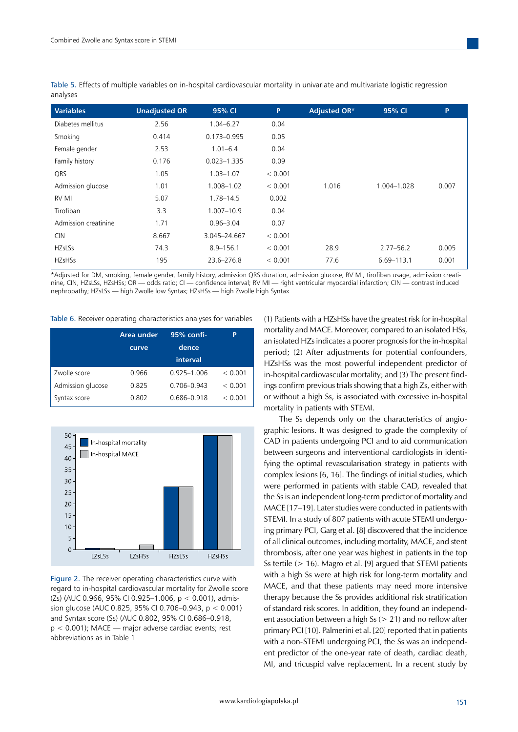| <b>Variables</b>     | <b>Unadjusted OR</b> | 95% CI          | P       | Adjusted OR* | 95% CI         | P     |
|----------------------|----------------------|-----------------|---------|--------------|----------------|-------|
| Diabetes mellitus    | 2.56                 | $1.04 - 6.27$   | 0.04    |              |                |       |
| Smoking              | 0.414                | $0.173 - 0.995$ | 0.05    |              |                |       |
| Female gender        | 2.53                 | $1.01 - 6.4$    | 0.04    |              |                |       |
| Family history       | 0.176                | $0.023 - 1.335$ | 0.09    |              |                |       |
| QRS                  | 1.05                 | $1.03 - 1.07$   | < 0.001 |              |                |       |
| Admission glucose    | 1.01                 | 1.008-1.02      | < 0.001 | 1.016        | 1.004-1.028    | 0.007 |
| RV MI                | 5.07                 | 1.78-14.5       | 0.002   |              |                |       |
| Tirofiban            | 3.3                  | 1.007-10.9      | 0.04    |              |                |       |
| Admission creatinine | 1.71                 | $0.96 - 3.04$   | 0.07    |              |                |       |
| <b>CIN</b>           | 8.667                | 3.045-24.667    | < 0.001 |              |                |       |
| <b>HZsLSs</b>        | 74.3                 | $8.9 - 156.1$   | < 0.001 | 28.9         | $2.77 - 56.2$  | 0.005 |
| <b>HZsHSs</b>        | 195                  | 23.6-276.8      | < 0.001 | 77.6         | $6.69 - 113.1$ | 0.001 |

Table 5. Effects of multiple variables on in-hospital cardiovascular mortality in univariate and multivariate logistic regression analyses

\*Adjusted for DM, smoking, female gender, family history, admission QRS duration, admission glucose, RV MI, tirofiban usage, admission creatinine, CIN, HZsLSs, HZsHSs; OR — odds ratio; CI — confidence interval; RV MI — right ventricular myocardial infarction; CIN — contrast induced nephropathy; HZsLSs — high Zwolle low Syntax; HZsHSs — high Zwolle high Syntax

Table 6. Receiver operating characteristics analyses for variables

|                   | Area under | 95% confi-      | P       |
|-------------------|------------|-----------------|---------|
|                   | curve      | dence           |         |
|                   |            | interval        |         |
| Zwolle score      | 0.966      | $0.925 - 1.006$ | < 0.001 |
| Admission glucose | 0.825      | $0.706 - 0.943$ | < 0.001 |
| Syntax score      | 0.802      | 0.686-0.918     | < 0.001 |



Figure 2. The receiver operating characteristics curve with regard to in-hospital cardiovascular mortality for Zwolle score (Zs) (AUC 0.966, 95% CI 0.925–1.006, p < 0.001), admission glucose (AUC 0.825, 95% CI 0.706–0.943, p < 0.001) and Syntax score (Ss) (AUC 0.802, 95% CI 0.686–0.918,  $p < 0.001$ ); MACE — major adverse cardiac events; rest abbreviations as in Table 1

(1) Patients with a HZsHSs have the greatest risk for in-hospital mortality and MACE. Moreover, compared to an isolated HSs, an isolated HZs indicates a poorer prognosis for the in-hospital period; (2) After adjustments for potential confounders, HZsHSs was the most powerful independent predictor of in-hospital cardiovascular mortality; and (3) The present findings confirm previous trials showing that a high Zs, either with or without a high Ss, is associated with excessive in-hospital mortality in patients with STEMI.

The Ss depends only on the characteristics of angiographic lesions. It was designed to grade the complexity of CAD in patients undergoing PCI and to aid communication between surgeons and interventional cardiologists in identifying the optimal revascularisation strategy in patients with complex lesions [6, 16]. The findings of initial studies, which were performed in patients with stable CAD, revealed that the Ss is an independent long-term predictor of mortality and MACE [17–19]. Later studies were conducted in patients with STEMI. In a study of 807 patients with acute STEMI undergoing primary PCI, Garg et al. [8] discovered that the incidence of all clinical outcomes, including mortality, MACE, and stent thrombosis, after one year was highest in patients in the top Ss tertile (> 16). Magro et al. [9] argued that STEMI patients with a high Ss were at high risk for long-term mortality and MACE, and that these patients may need more intensive therapy because the Ss provides additional risk stratification of standard risk scores. In addition, they found an independent association between a high  $S_s$  ( $> 21$ ) and no reflow after primary PCI [10]. Palmerini et al. [20] reported that in patients with a non-STEMI undergoing PCI, the Ss was an independent predictor of the one-year rate of death, cardiac death, MI, and tricuspid valve replacement. In a recent study by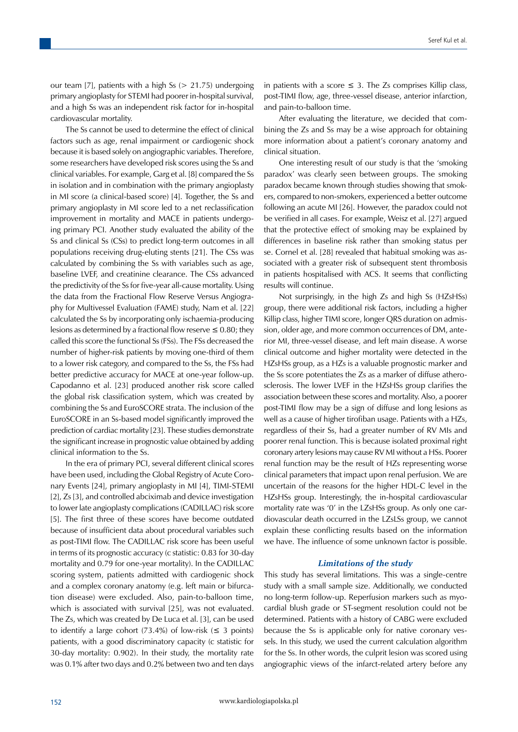our team [7], patients with a high Ss (> 21.75) undergoing primary angioplasty for STEMI had poorer in-hospital survival, and a high Ss was an independent risk factor for in-hospital cardiovascular mortality.

The Ss cannot be used to determine the effect of clinical factors such as age, renal impairment or cardiogenic shock because it is based solely on angiographic variables. Therefore, some researchers have developed risk scores using the Ss and clinical variables. For example, Garg et al. [8] compared the Ss in isolation and in combination with the primary angioplasty in MI score (a clinical-based score) [4]. Together, the Ss and primary angioplasty in MI score led to a net reclassification improvement in mortality and MACE in patients undergoing primary PCI. Another study evaluated the ability of the Ss and clinical Ss (CSs) to predict long-term outcomes in all populations receiving drug-eluting stents [21]. The CSs was calculated by combining the Ss with variables such as age, baseline LVEF, and creatinine clearance. The CSs advanced the predictivity of the Ss for five-year all-cause mortality. Using the data from the Fractional Flow Reserve Versus Angiography for Multivessel Evaluation (FAME) study, Nam et al. [22] calculated the Ss by incorporating only ischaemia-producing lesions as determined by a fractional flow reserve  $\leq 0.80$ ; they called this score the functional Ss (FSs). The FSs decreased the number of higher-risk patients by moving one-third of them to a lower risk category, and compared to the Ss, the FSs had better predictive accuracy for MACE at one-year follow-up. Capodanno et al. [23] produced another risk score called the global risk classification system, which was created by combining the Ss and EuroSCORE strata. The inclusion of the EuroSCORE in an Ss-based model significantly improved the prediction of cardiac mortality [23]. These studies demonstrate the significant increase in prognostic value obtained by adding clinical information to the Ss.

In the era of primary PCI, several different clinical scores have been used, including the Global Registry of Acute Coronary Events [24], primary angioplasty in MI [4], TIMI-STEMI [2], Zs [3], and controlled abciximab and device investigation to lower late angioplasty complications (CADILLAC) risk score [5]. The first three of these scores have become outdated because of insufficient data about procedural variables such as post-TIMI flow. The CADILLAC risk score has been useful in terms of its prognostic accuracy (c statistic: 0.83 for 30-day mortality and 0.79 for one-year mortality). In the CADILLAC scoring system, patients admitted with cardiogenic shock and a complex coronary anatomy (e.g. left main or bifurcation disease) were excluded. Also, pain-to-balloon time, which is associated with survival [25], was not evaluated. The Zs, which was created by De Luca et al. [3], can be used to identify a large cohort  $(73.4\%)$  of low-risk ( $\leq$  3 points) patients, with a good discriminatory capacity (c statistic for 30-day mortality: 0.902). In their study, the mortality rate was 0.1% after two days and 0.2% between two and ten days in patients with a score  $\leq$  3. The Zs comprises Killip class, post-TIMI flow, age, three-vessel disease, anterior infarction, and pain-to-balloon time.

After evaluating the literature, we decided that combining the Zs and Ss may be a wise approach for obtaining more information about a patient's coronary anatomy and clinical situation.

One interesting result of our study is that the 'smoking paradox' was clearly seen between groups. The smoking paradox became known through studies showing that smokers, compared to non-smokers, experienced a better outcome following an acute MI [26]. However, the paradox could not be verified in all cases. For example, Weisz et al. [27] argued that the protective effect of smoking may be explained by differences in baseline risk rather than smoking status per se. Cornel et al. [28] revealed that habitual smoking was associated with a greater risk of subsequent stent thrombosis in patients hospitalised with ACS. It seems that conflicting results will continue.

Not surprisingly, in the high Zs and high Ss (HZsHSs) group, there were additional risk factors, including a higher Killip class, higher TIMI score, longer QRS duration on admission, older age, and more common occurrences of DM, anterior MI, three-vessel disease, and left main disease. A worse clinical outcome and higher mortality were detected in the HZsHSs group, as a HZs is a valuable prognostic marker and the Ss score potentiates the Zs as a marker of diffuse atherosclerosis. The lower LVEF in the HZsHSs group clarifies the association between these scores and mortality. Also, a poorer post-TIMI flow may be a sign of diffuse and long lesions as well as a cause of higher tirofiban usage. Patients with a HZs, regardless of their Ss, had a greater number of RV MIs and poorer renal function. This is because isolated proximal right coronary artery lesions may cause RV MI without a HSs. Poorer renal function may be the result of HZs representing worse clinical parameters that impact upon renal perfusion. We are uncertain of the reasons for the higher HDL-C level in the HZsHSs group. Interestingly, the in-hospital cardiovascular mortality rate was '0' in the LZsHSs group. As only one cardiovascular death occurred in the LZsLSs group, we cannot explain these conflicting results based on the information we have. The influence of some unknown factor is possible.

## *Limitations of the study*

This study has several limitations. This was a single-centre study with a small sample size. Additionally, we conducted no long-term follow-up. Reperfusion markers such as myocardial blush grade or ST-segment resolution could not be determined. Patients with a history of CABG were excluded because the Ss is applicable only for native coronary vessels. In this study, we used the current calculation algorithm for the Ss. In other words, the culprit lesion was scored using angiographic views of the infarct-related artery before any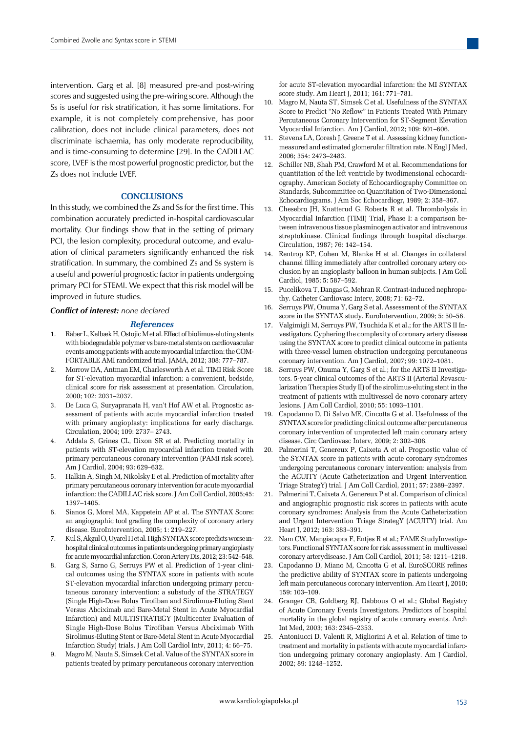intervention. Garg et al. [8] measured pre-and post-wiring scores and suggested using the pre-wiring score. Although the Ss is useful for risk stratification, it has some limitations. For example, it is not completely comprehensive, has poor calibration, does not include clinical parameters, does not discriminate ischaemia, has only moderate reproducibility, and is time-consuming to determine [29]. In the CADILLAC score, LVEF is the most powerful prognostic predictor, but the Zs does not include LVEF.

## **CONCLUSIONS**

In this study, we combined the Zs and Ss for the first time. This combination accurately predicted in-hospital cardiovascular mortality. Our findings show that in the setting of primary PCI, the lesion complexity, procedural outcome, and evaluation of clinical parameters significantly enhanced the risk stratification. In summary, the combined Zs and Ss system is a useful and powerful prognostic factor in patients undergoing primary PCI for STEMI. We expect that this risk model will be improved in future studies.

#### *Conflict of interest: none declared*

#### *References*

- 1. Räber L, Kelbæk H, Ostojic M et al. Effect of biolimus-eluting stents with biodegradable polymer vs bare-metal stents on cardiovascular events among patients with acute myocardial infarction: the COM-FORTABLE AMI randomized trial. JAMA, 2012; 308: 777–787.
- 2. Morrow DA, Antman EM, Charlesworth A et al. TIMI Risk Score for ST-elevation myocardial infarction: a convenient, bedside, clinical score for risk assessment at presentation. Circulation, 2000; 102: 2031–2037.
- 3. De Luca G, Suryapranata H, van't Hof AW et al. Prognostic assessment of patients with acute myocardial infarction treated with primary angioplasty: implications for early discharge. Circulation, 2004; 109: 2737– 2743.
- 4. Addala S, Grines CL, Dixon SR et al. Predicting mortality in patients with ST-elevation myocardial infarction treated with primary percutaneous coronary intervention (PAMI risk score). Am J Cardiol, 2004; 93: 629–632.
- 5. Halkin A, Singh M, Nikolsky E et al. Prediction of mortality after primary percutaneous coronary intervention for acute myocardial infarction: the CADILLAC risk score. J Am Coll Cardiol, 2005;45: 1397–1405.
- Sianos G, Morel MA, Kappetein AP et al. The SYNTAX Score: an angiographic tool grading the complexity of coronary artery disease. EuroIntervention, 2005; 1: 219–227.
- 7. Kul S, Akgul O, Uyarel H et al. High SYNTAX score predicts worse ınhospital clinical outcomes in patients undergoing primary angioplasty for acute myocardial ınfarction. Coron Artery Dis, 2012; 23: 542–548.
- 8. Garg S, Sarno G, Serruys PW et al. Prediction of 1-year clinical outcomes using the SYNTAX score in patients with acute ST-elevation myocardial infarction undergoing primary percutaneous coronary intervention: a substudy of the STRATEGY (Single High-Dose Bolus Tirofiban and Sirolimus-Eluting Stent Versus Abciximab and Bare-Metal Stent in Acute Myocardial Infarction) and MULTISTRATEGY (Multicenter Evaluation of Single High-Dose Bolus Tirofiban Versus Abciximab With Sirolimus-Eluting Stent or Bare-Metal Stent in Acute Myocardial Infarction Study) trials. J Am Coll Cardiol Intv, 2011; 4: 66–75.
- 9. Magro M, Nauta S, Simsek C et al. Value of the SYNTAX score in patients treated by primary percutaneous coronary intervention

for acute ST-elevation myocardial infarction: the MI SYNTAX score study. Am Heart J, 2011; 161: 771–781.

- 10. Magro M, Nauta ST, Simsek C et al. Usefulness of the SYNTAX Score to Predict "No Reflow" in Patients Treated With Primary Percutaneous Coronary Intervention for ST-Segment Elevation Myocardial Infarction. Am J Cardiol, 2012; 109: 601–606.
- 11. Stevens LA, Coresh J, Greene T et al. Assessing kidney functionmeasured and estimated glomerular filtration rate. N Engl J Med, 2006; 354: 2473–2483.
- 12. Schiller NB, Shah PM, Crawford M et al. Recommendations for quantitation of the left ventricle by twodimensional echocardiography. American Society of Echocardiography Committee on Standards, Subcommittee on Quantitation of Two-Dimensional Echocardiograms. J Am Soc Echocardiogr, 1989; 2: 358–367.
- 13. Chesebro JH, Knatterud G, Roberts R et al. Thrombolysis in Myocardial Infarction (TIMI) Trial, Phase I: a comparison between intravenous tissue plasminogen activator and intravenous streptokinase. Clinical findings through hospital discharge. Circulation, 1987; 76: 142–154.
- 14. Rentrop KP, Cohen M, Blanke H et al. Changes in collateral channel filling immediately after controlled coronary artery occlusion by an angioplasty balloon in human subjects. J Am Coll Cardiol, 1985; 5: 587–592.
- 15. Pucelikova T, Dangas G, Mehran R. Contrast-induced nephropathy. Catheter Cardiovasc Interv, 2008; 71: 62–72.
- 16. Serruys PW, Onuma Y, Garg S et al. Assessment of the SYNTAX score in the SYNTAX study. EuroIntervention, 2009; 5: 50–56.
- 17. Valgimigli M, Serruys PW, Tsuchida K et al.; for the ARTS II Investigators. Cyphering the complexity of coronary artery disease using the SYNTAX score to predict clinical outcome in patients with three-vessel lumen obstruction undergoing percutaneous coronary intervention. Am J Cardiol, 2007; 99: 1072–1081.
- 18. Serruys PW, Onuma Y, Garg S et al.; for the ARTS II Investigators. 5-year clinical outcomes of the ARTS II (Arterial Revascularization Therapies Study II) of the sirolimus-eluting stent in the treatment of patients with multivessel de novo coronary artery lesions. J Am Coll Cardiol, 2010; 55: 1093–1101.
- 19. Capodanno D, Di Salvo ME, Cincotta G et al. Usefulness of the SYNTAX score for predicting clinical outcome after percutaneous coronary intervention of unprotected left main coronary artery disease. Circ Cardiovasc Interv, 2009; 2: 302–308.
- 20. Palmerini T, Genereux P, Caixeta A et al. Prognostic value of the SYNTAX score in patients with acute coronary syndromes undergoing percutaneous coronary intervention: analysis from the ACUITY (Acute Catheterization and Urgent Intervention Triage StrategY) trial. J Am Coll Cardiol, 2011; 57: 2389–2397.
- 21. Palmerini T, Caixeta A, Genereux P et al. Comparison of clinical and angiographic prognostic risk scores in patients with acute coronary syndromes: Analysis from the Acute Catheterization and Urgent Intervention Triage StrategY (ACUITY) trial. Am Heart J, 2012; 163: 383–391.
- 22. Nam CW, Mangiacapra F, Entjes R et al.; FAME StudyInvestigators. Functional SYNTAX score for risk assessment in multivessel coronary arterydisease. J Am Coll Cardiol, 2011; 58: 1211–1218.
- 23. Capodanno D, Miano M, Cincotta G et al. EuroSCORE refines the predictive ability of SYNTAX score in patients undergoing left main percutaneous coronary intervention. Am Heart J, 2010; 159: 103–109.
- 24. Granger CB, Goldberg RJ, Dabbous O et al.; Global Registry of Acute Coronary Events Investigators. Predictors of hospital mortality in the global registry of acute coronary events. Arch Int Med, 2003; 163: 2345–2353.
- 25. Antoniucci D, Valenti R, Migliorini A et al. Relation of time to treatment and mortality in patients with acute myocardial infarction undergoing primary coronary angioplasty. Am J Cardiol, 2002; 89: 1248–1252.